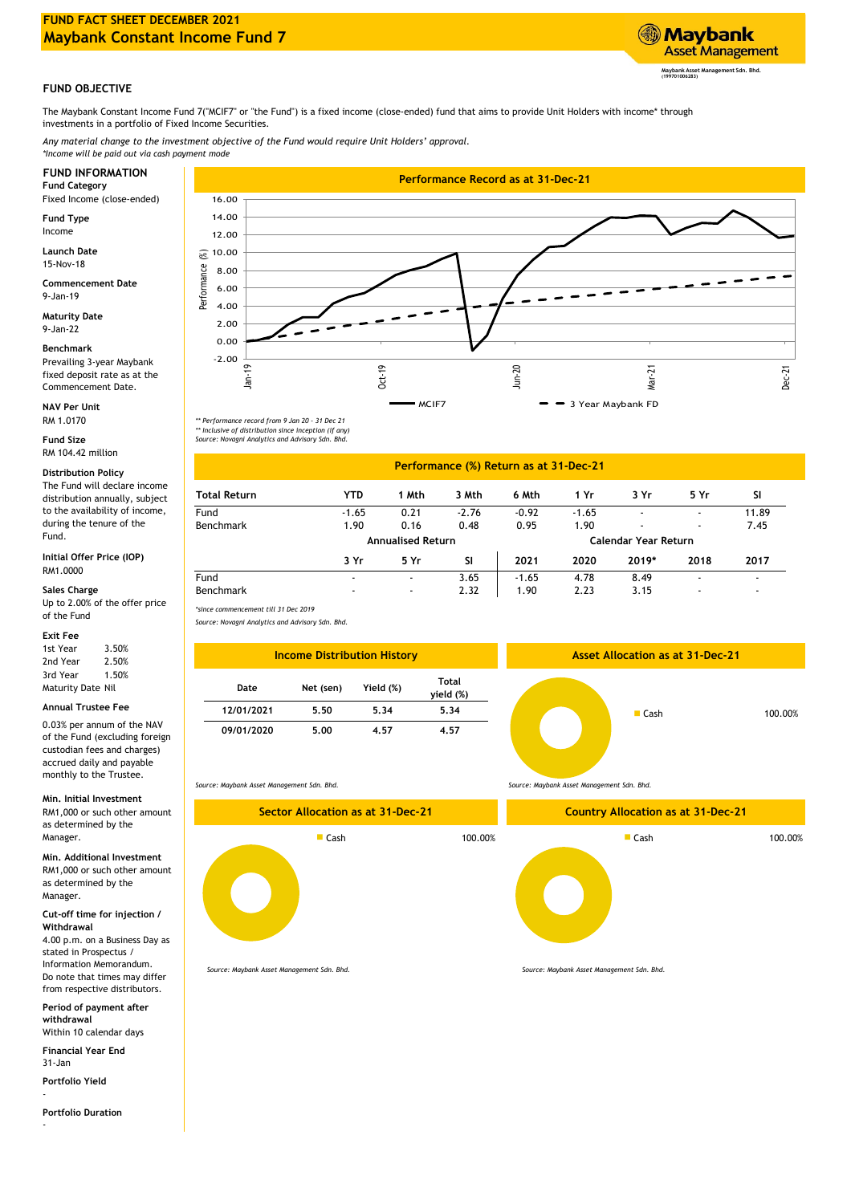

## **FUND OBJECTIVE**

The Maybank Constant Income Fund 7("MCIF7" or "the Fund") is a fixed income (close-ended) fund that aims to provide Unit Holders with income\* through investments in a portfolio of Fixed Income Securities.

*Any material change to the investment objective of the Fund would require Unit Holders' approval. \*Income will be paid out via cash payment mode*

Fixed Income (close-ended)

**Fund Type** Income

15-Nov-18 **Launch Date**

9-Jan-19 **Commencement Date**

**Maturity Date** 9-Jan-22

**Benchmark**

Prevailing 3-year Maybank fixed deposit rate as at the Commencement Date.

**NAV Per Unit** RM 1.0170

**Fund Size** RM 104.42 million

**Distribution Policy** The Fund will declare income distribution annually, subject to the availability of income, during the tenure of the Fund.

**Initial Offer Price (IOP)** RM1.0000

### **Sales Charge**

Up to 2.00% of the offer price of the Fund

### **Exit Fee**

0.03% per annum of the NAV of the Fund (excluding foreign custodian fees and charges) accrued daily and payable monthly to the Trustee.

#### **Min. Initial Investment**

RM1,000 or such other amount as determined by the Manager.

RM1,000 or such other amount as determined by the Manager. **Min. Additional Investment**

**Cut-off time for injection / Withdrawal**

4.00 p.m. on a Business Day as stated in Prospectus / Information Memorandum. Do note that times may differ from respective distributors.

**Period of payment after withdrawal** Within 10 calendar days

**Financial Year End**

31-Jan

**Portfolio Yield**

-

-

**Portfolio Duration**



*\*\* Performance record from 9 Jan 20 - 31 Dec 21 \*\* Inclusive of distribution since inception (if any) Source: Novagni Analytics and Advisory Sdn. Bhd.*

# **Performance (%) Return as at 31-Dec-21**

| <b>Total Return</b> | YTD                      | 1 Mth                    | 3 Mth   | 6 Mth   | 1 Yr    | 3 Yr                        | 5 Yr                     | SI.                      |
|---------------------|--------------------------|--------------------------|---------|---------|---------|-----------------------------|--------------------------|--------------------------|
| Fund                | $-1.65$                  | 0.21                     | $-2.76$ | $-0.92$ | $-1.65$ |                             | $\blacksquare$           | 11.89                    |
| Benchmark           | 1.90                     | 0.16                     | 0.48    | 0.95    | 1.90    |                             | $\blacksquare$           | 7.45                     |
|                     |                          | <b>Annualised Return</b> |         |         |         | <b>Calendar Year Return</b> |                          |                          |
|                     | 3 Yr                     | 5 Yr                     | SΙ      | 2021    | 2020    | 2019*                       | 2018                     | 2017                     |
| Fund                | $\overline{\phantom{0}}$ | $\blacksquare$           | 3.65    | $-1.65$ | 4.78    | 8.49                        | $\overline{\phantom{0}}$ | $\overline{\phantom{a}}$ |
| Benchmark           | $\overline{\phantom{0}}$ | $\blacksquare$           | 2.32    | 1.90    | 2.23    | 3.15                        | $\overline{\phantom{0}}$ | -                        |

*Source: Novagni Analytics and Advisory Sdn. Bhd.*

| 1st Year<br>3.50%<br><b>Income Distribution History</b><br>2nd Year<br>2.50%                                              | <b>Asset Allocation as at 31-Dec-21</b> |
|---------------------------------------------------------------------------------------------------------------------------|-----------------------------------------|
| 3rd Year<br>1.50%<br>Maturity Date Nil<br>Yield (%)<br>Net (sen)<br>Date                                                  | Total<br>yield (%)                      |
| Annual Trustee Fee<br>12/01/2021<br>5.34<br>5.50                                                                          | 5.34                                    |
| 0.03% per annum of the NAV<br>09/01/2020<br>5.00<br>4.57<br>of the Fund (excluding foreign<br>custodian fees and charges) | 4.57                                    |

*Source: Maybank Asset Management Sdn. Bhd.*



*Source: Maybank Asset Management Sdn. Bhd.*

*Source: Maybank Asset Management Sdn. Bhd.*

*Source: Maybank Asset Management Sdn. Bhd.*